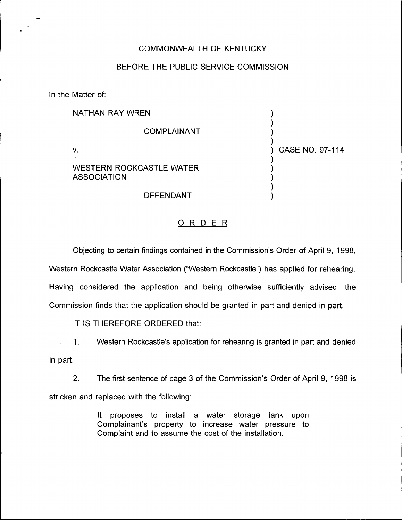## COMMONWEALTH OF KENTUCKY

## BEFORE THE PUBLIC SERVICE COMMISSION

In the Matter of:

| NATHAN RAY WREN    |                                 |                 |
|--------------------|---------------------------------|-----------------|
|                    | <b>COMPLAINANT</b>              |                 |
| $\mathsf{V}$ .     |                                 | CASE NO. 97-114 |
| <b>ASSOCIATION</b> | <b>WESTERN ROCKCASTLE WATER</b> |                 |
|                    | <b>DEFENDANT</b>                |                 |

## 0 <sup>R</sup> <sup>D</sup> E <sup>R</sup>

Objecting to certain findings contained in the Commission's Order of April 9, 1998, Western Rockcastle Water Association ("Western Rockcastle") has applied for rehearing. Having considered the application and being otherwise sufficiently advised, the Commission finds that the application should be granted in part and denied in part.

IT IS THEREFORE ORDERED that:

1. Western Rockcastle's application for rehearing is granted in part and denied ù. in part.

2. The first sentence of page 3 of the Commission's Order of April 9, 1998 is stricken and replaced with the following:

> It proposes to install a water storage tank upon Complainant's property to increase water pressure to Complaint and to assume the cost of the installation.